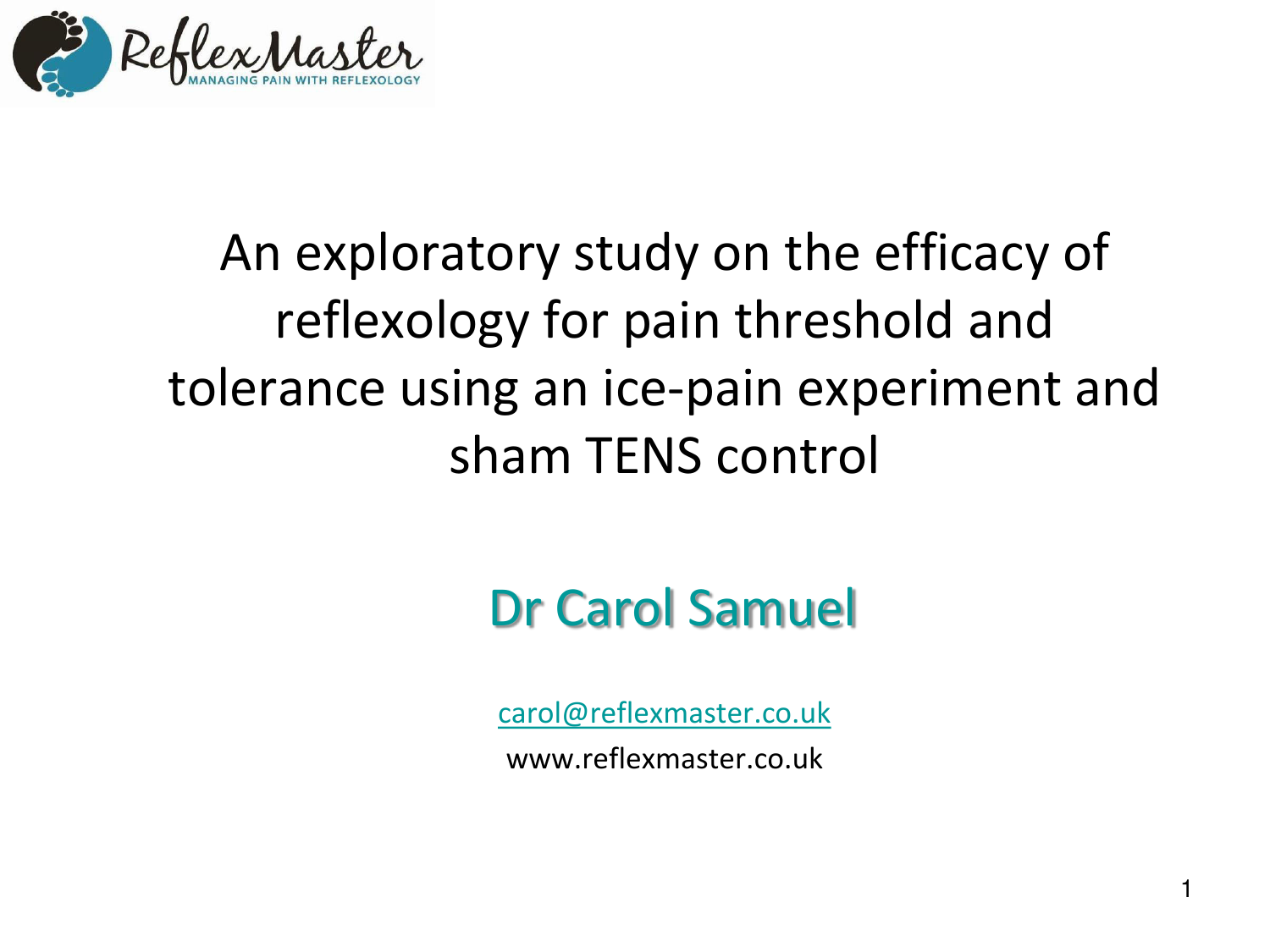

# An exploratory study on the efficacy of reflexology for pain threshold and tolerance using an ice-pain experiment and sham TENS control

# Dr Carol Samuel

[carol@reflexmaster.co.uk](mailto:carol@reflexmaster.co.uk) www.reflexmaster.co.uk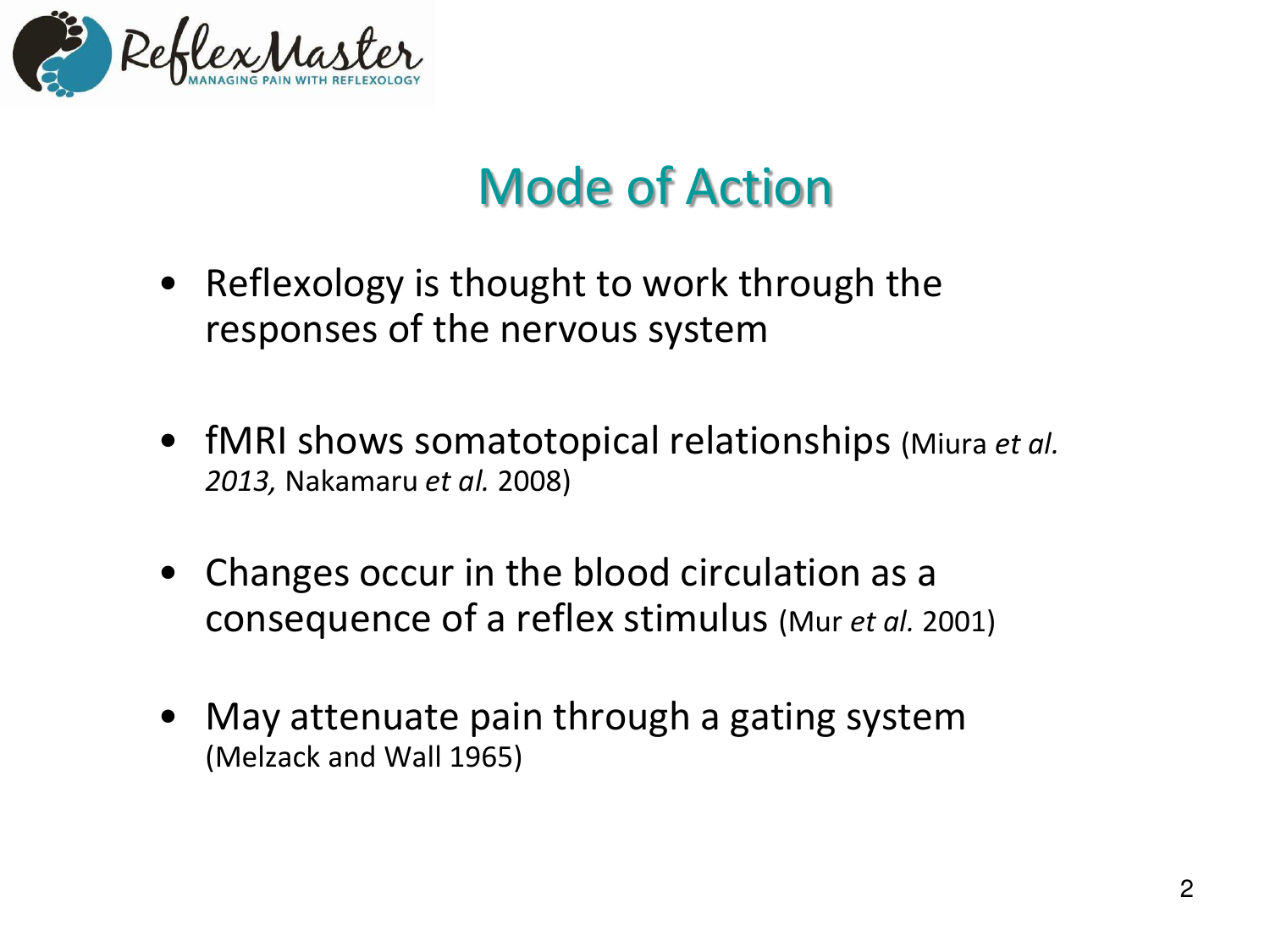

# Mode of Action

- Reflexology is thought to work through the responses of the nervous system
- fMRI shows somatotopical relationships (Miura *et al. 2013,* Nakamaru *et al.* 2008)
- Changes occur in the blood circulation as a consequence of a reflex stimulus (Mur *et al.* 2001)
- May attenuate pain through a gating system (Melzack and Wall 1965)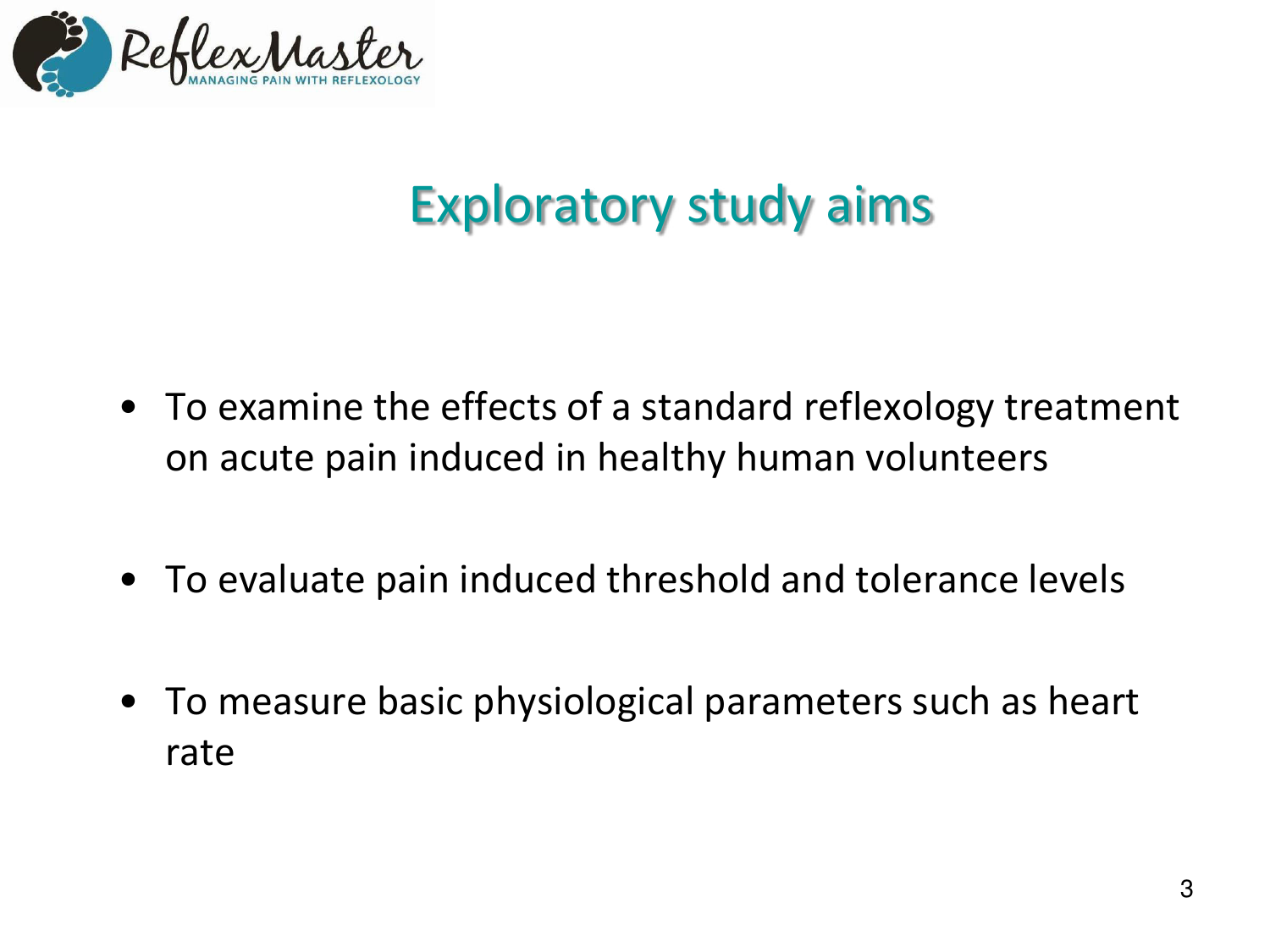

# Exploratory study aims

- To examine the effects of a standard reflexology treatment on acute pain induced in healthy human volunteers
- To evaluate pain induced threshold and tolerance levels
- To measure basic physiological parameters such as heart rate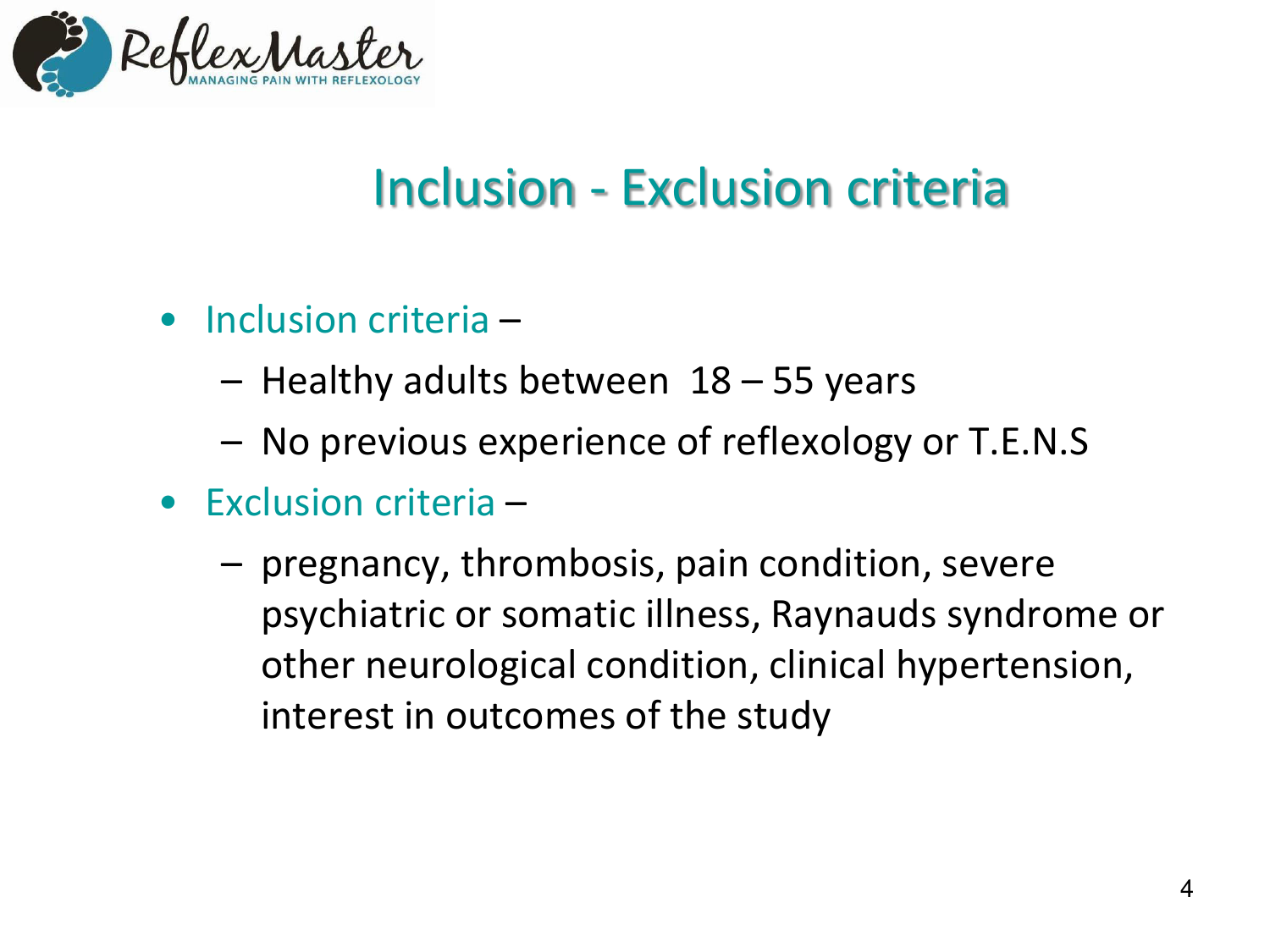

## Inclusion - Exclusion criteria

- $\bullet$  Inclusion criteria  $\overline{\phantom{a}}$ 
	- $-$  Healthy adults between  $18 55$  years
	- No previous experience of reflexology or T.E.N.S
- $\bullet$  Exclusion criteria  $\overline{\phantom{a}}$ 
	- pregnancy, thrombosis, pain condition, severe psychiatric or somatic illness, Raynauds syndrome or other neurological condition, clinical hypertension, interest in outcomes of the study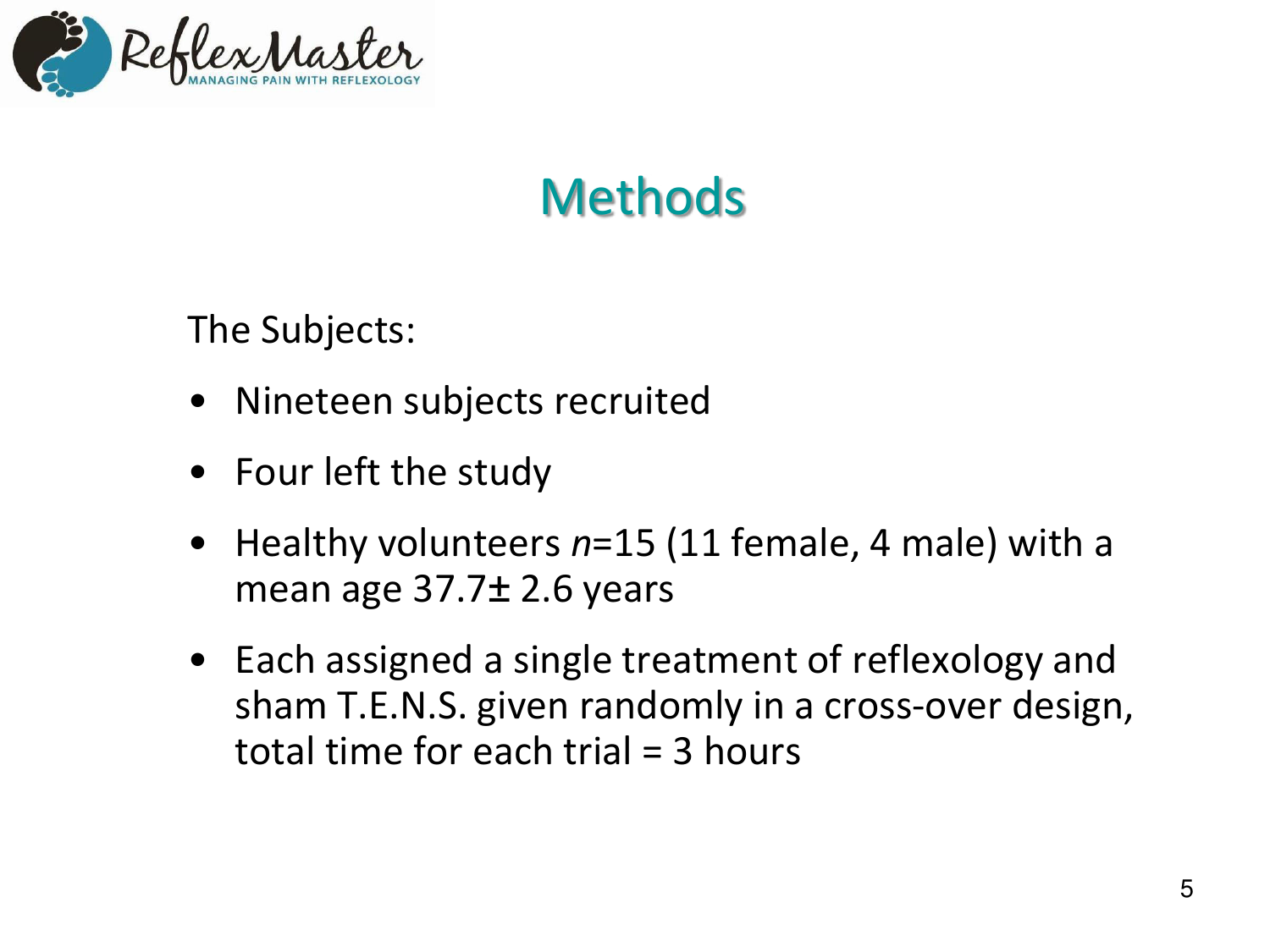

# **Methods**

The Subjects:

- Nineteen subjects recruited
- Four left the study
- Healthy volunteers *n*=15 (11 female, 4 male) with a mean age  $37.7\pm 2.6$  years
- Each assigned a single treatment of reflexology and sham T.E.N.S. given randomly in a cross-over design, total time for each trial = 3 hours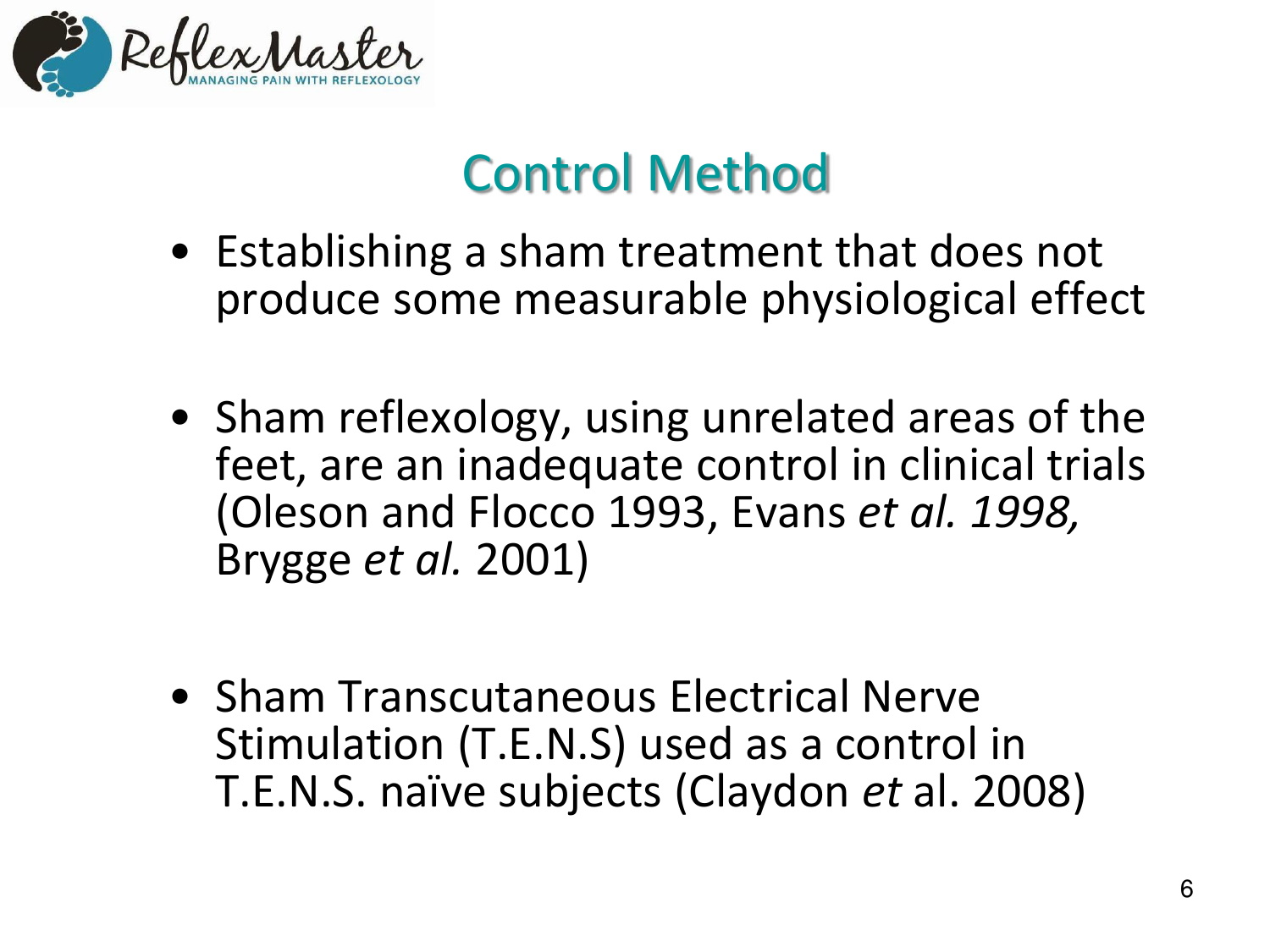

# Control Method

- Establishing a sham treatment that does not produce some measurable physiological effect
- Sham reflexology, using unrelated areas of the feet, are an inadequate control in clinical trials (Oleson and Flocco 1993, Evans *et al. 1998,*  Brygge *et al.* 2001)
- **Sham Transcutaneous Electrical Nerve** Stimulation (T.E.N.S) used as a control in T.E.N.S. naïve subjects (Claydon *et* al. 2008)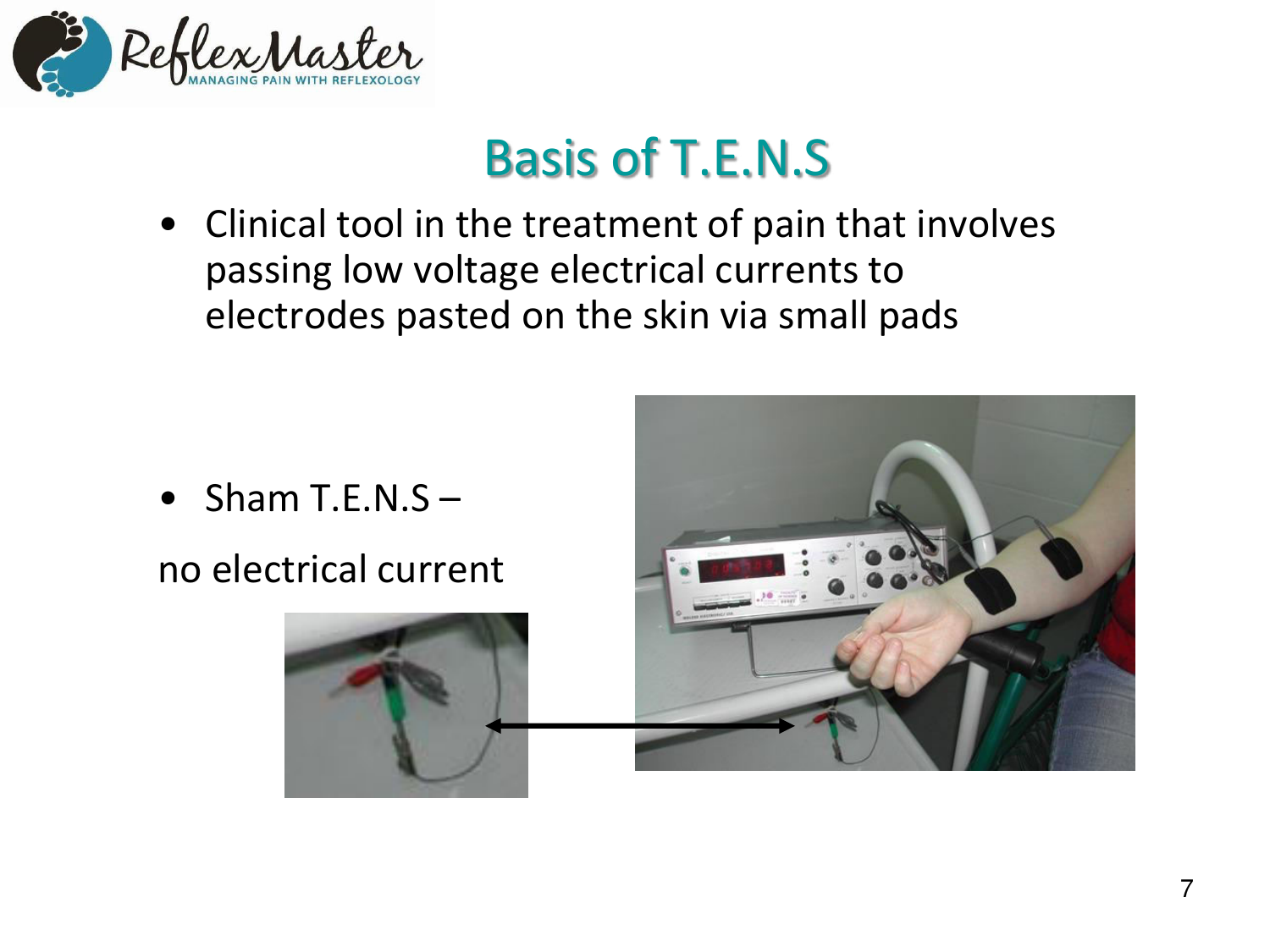

# Basis of T.E.N.S

• Clinical tool in the treatment of pain that involves passing low voltage electrical currents to electrodes pasted on the skin via small pads

- Sham T.E.N.S  $-$
- no electrical current



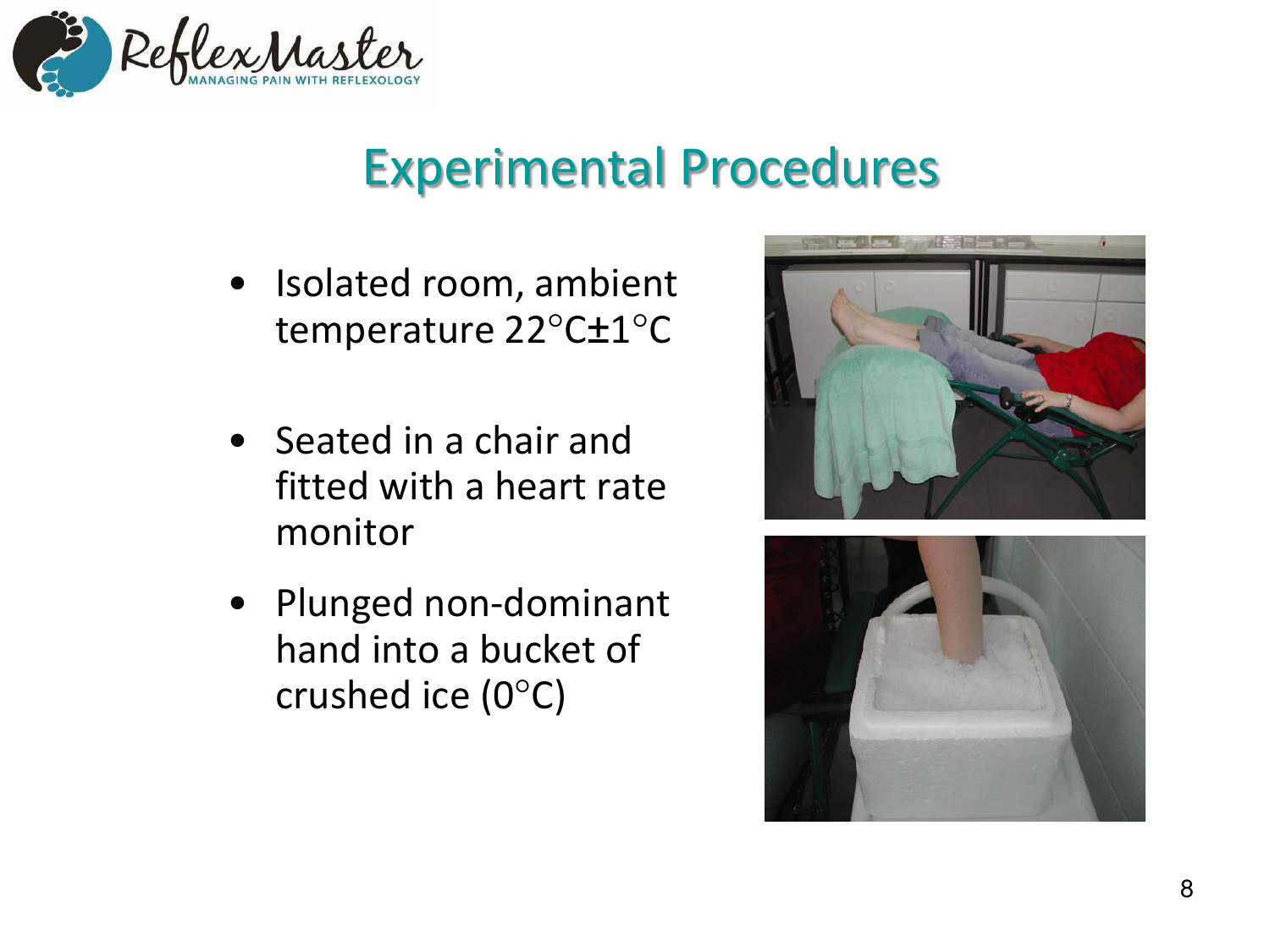

#### Experimental Procedures

- Isolated room, ambient temperature 22°C±1°C
- Seated in a chair and fitted with a heart rate monitor
- Plunged non-dominant hand into a bucket of crushed ice  $(0^{\circ}C)$



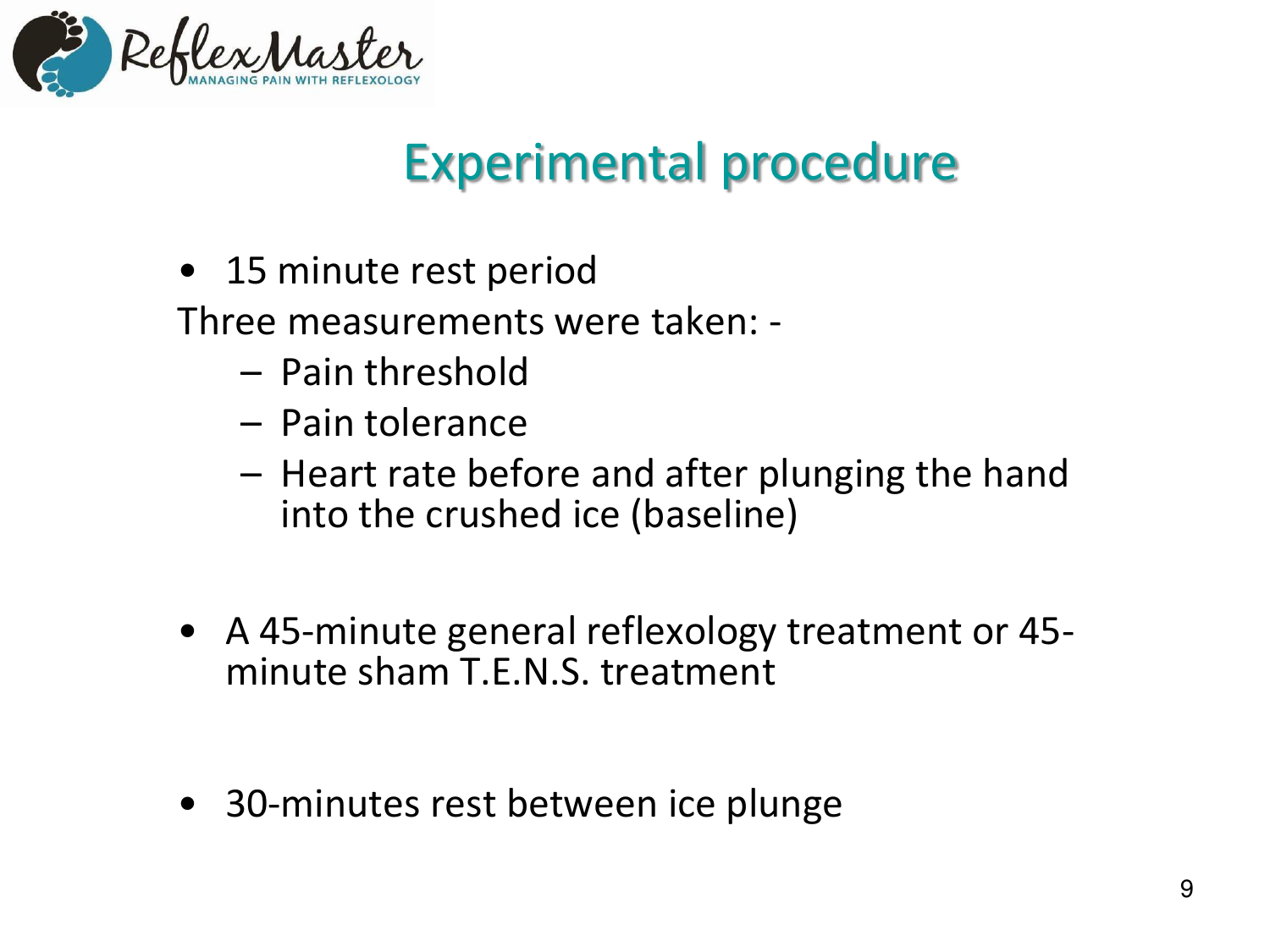

# Experimental procedure

• 15 minute rest period

Three measurements were taken: -

- Pain threshold
- Pain tolerance
- $-$  Heart rate before and after plunging the hand into the crushed ice (baseline)
- A 45-minute general reflexology treatment or 45minute sham T.E.N.S. treatment
- 30-minutes rest between ice plunge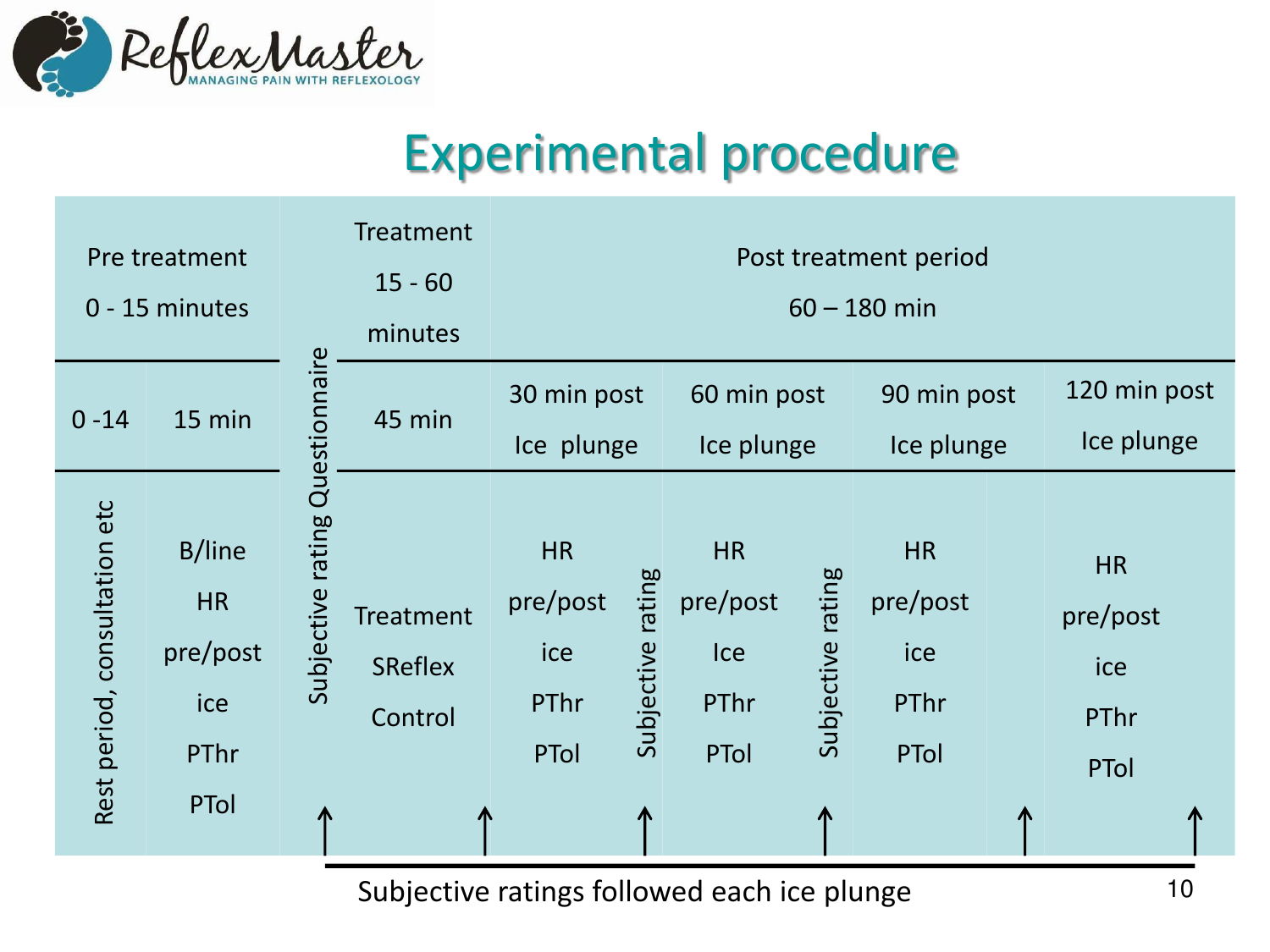

#### Experimental procedure

| Pre treatment<br>0 - 15 minutes |                                                               |                                 | <b>Treatment</b><br>$15 - 60$<br>minutes           | Post treatment period<br>$60 - 180$ min      |                      |                                                     |                      |                                              |                                              |  |
|---------------------------------|---------------------------------------------------------------|---------------------------------|----------------------------------------------------|----------------------------------------------|----------------------|-----------------------------------------------------|----------------------|----------------------------------------------|----------------------------------------------|--|
| $0 - 14$                        | 15 min                                                        |                                 | 45 min                                             | 30 min post<br>Ice plunge                    |                      | 60 min post<br>Ice plunge                           |                      | 90 min post<br>Ice plunge                    | 120 min post<br>Ice plunge                   |  |
| Rest period, consultation etc   | <b>B/line</b><br><b>HR</b><br>pre/post<br>ice<br>PThr<br>PTol | Subjective rating Questionnaire | <b>Treatment</b><br><b>SReflex</b><br>Control<br>Л | <b>HR</b><br>pre/post<br>ice<br>PThr<br>PTol | rating<br>Subjective | <b>HR</b><br>pre/post<br>Ice<br>PThr<br><b>PTol</b> | rating<br>Subjective | <b>HR</b><br>pre/post<br>ice<br>PThr<br>PTol | <b>HR</b><br>pre/post<br>ice<br>PThr<br>PTol |  |

Subjective ratings followed each ice plunge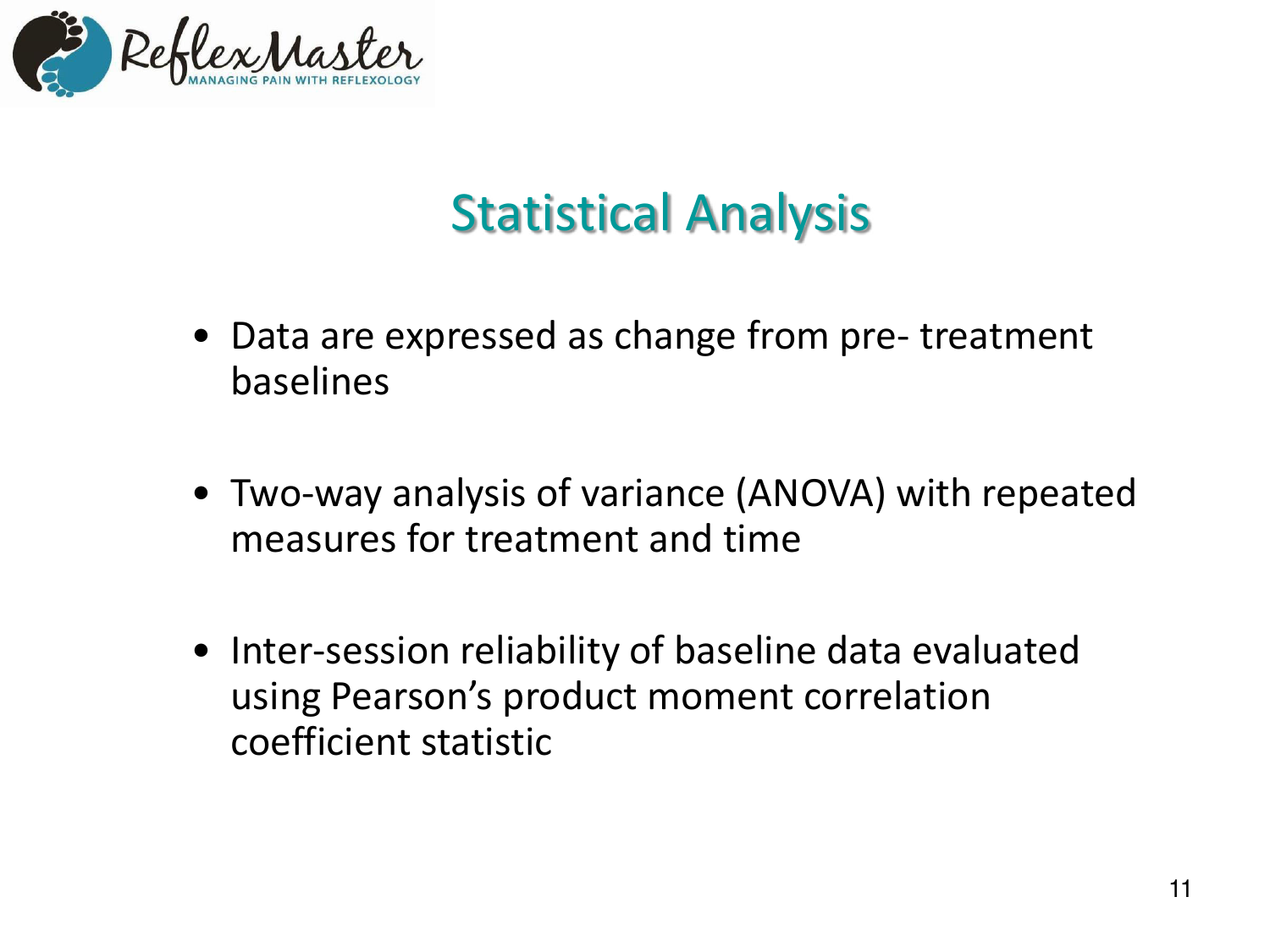

# Statistical Analysis

- Data are expressed as change from pre- treatment baselines
- Two-way analysis of variance (ANOVA) with repeated measures for treatment and time
- Inter-session reliability of baseline data evaluated using Pearson's product moment correlation coefficient statistic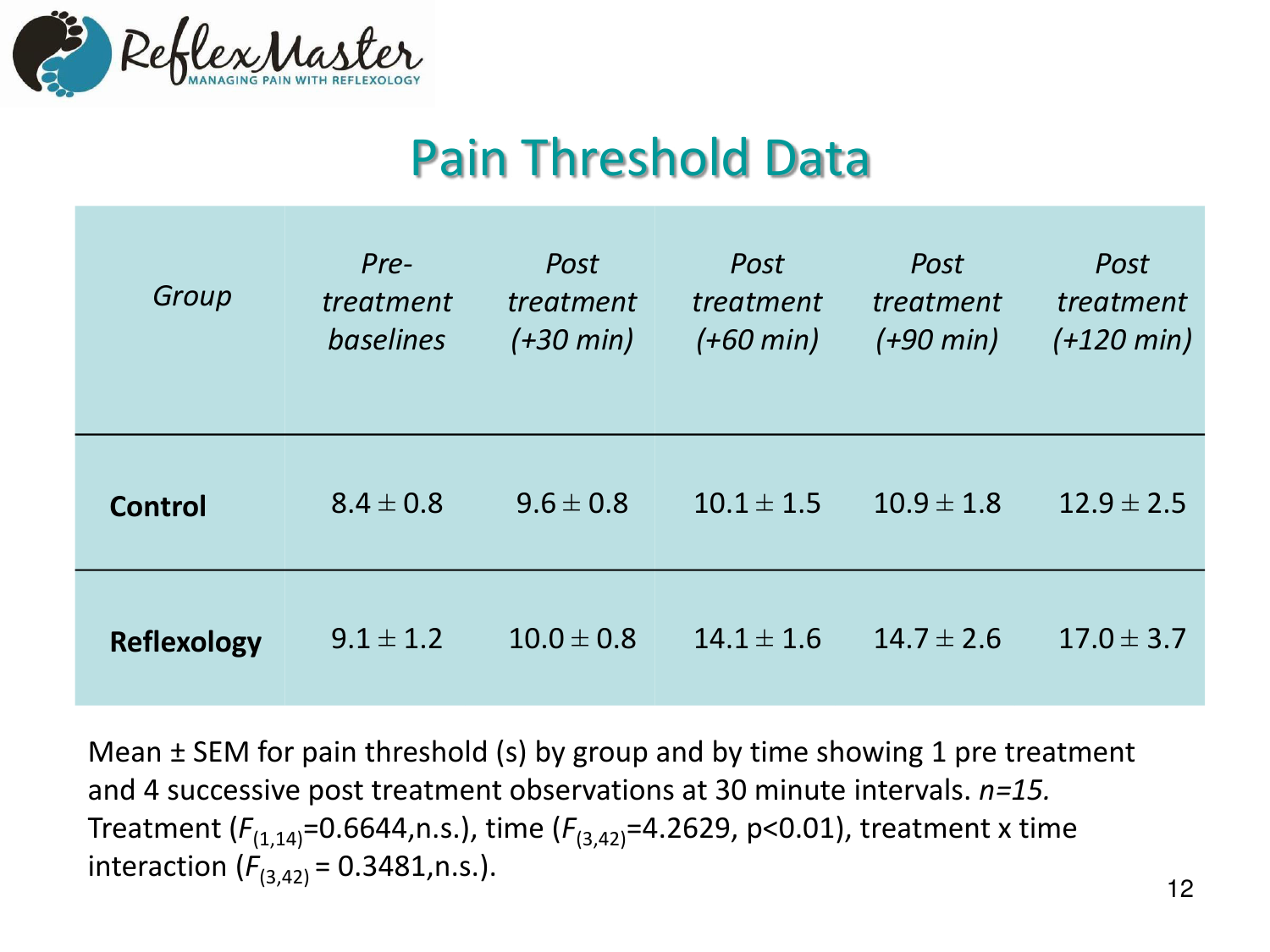

#### Pain Threshold Data

| Group              | Pre-<br>treatment<br>baselines | Post<br>treatment<br>$(+30 \text{ min})$ | Post<br>treatment<br>$(+60 \text{ min})$ | Post<br>treatment<br>$(+90 \text{ min})$ | Post<br>treatment<br>$(+120 \text{ min})$ |
|--------------------|--------------------------------|------------------------------------------|------------------------------------------|------------------------------------------|-------------------------------------------|
| <b>Control</b>     | $8.4 \pm 0.8$                  | $9.6 \pm 0.8$                            | $10.1 \pm 1.5$                           | $10.9 \pm 1.8$                           | $12.9 \pm 2.5$                            |
| <b>Reflexology</b> | $9.1 \pm 1.2$                  | $10.0 \pm 0.8$                           | $14.1 \pm 1.6$                           | $14.7 \pm 2.6$                           | $17.0 \pm 3.7$                            |

Mean ± SEM for pain threshold (s) by group and by time showing 1 pre treatment and 4 successive post treatment observations at 30 minute intervals. *n=15.*  Treatment ( $F_{(1,14)}$ =0.6644,n.s.), time ( $F_{(3,42)}$ =4.2629, p<0.01), treatment x time interaction  $(F_{(3,42)} = 0.3481, n.s.).$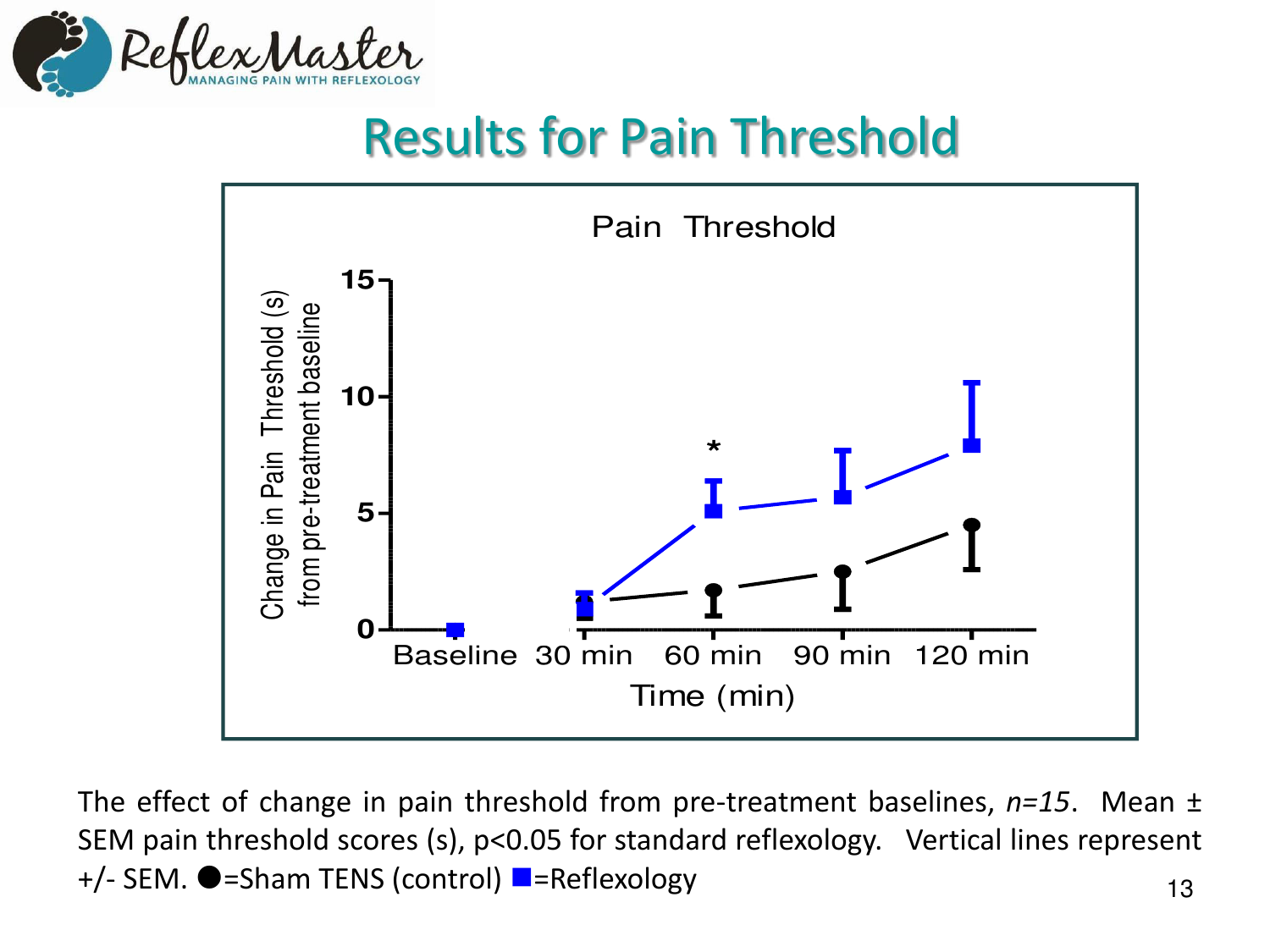

### Results for Pain Threshold



13 The effect of change in pain threshold from pre-treatment baselines, *n=15*. Mean ± SEM pain threshold scores (s), p<0.05 for standard reflexology. Vertical lines represent +/- SEM. ●=Sham TENS (control) ■=Reflexology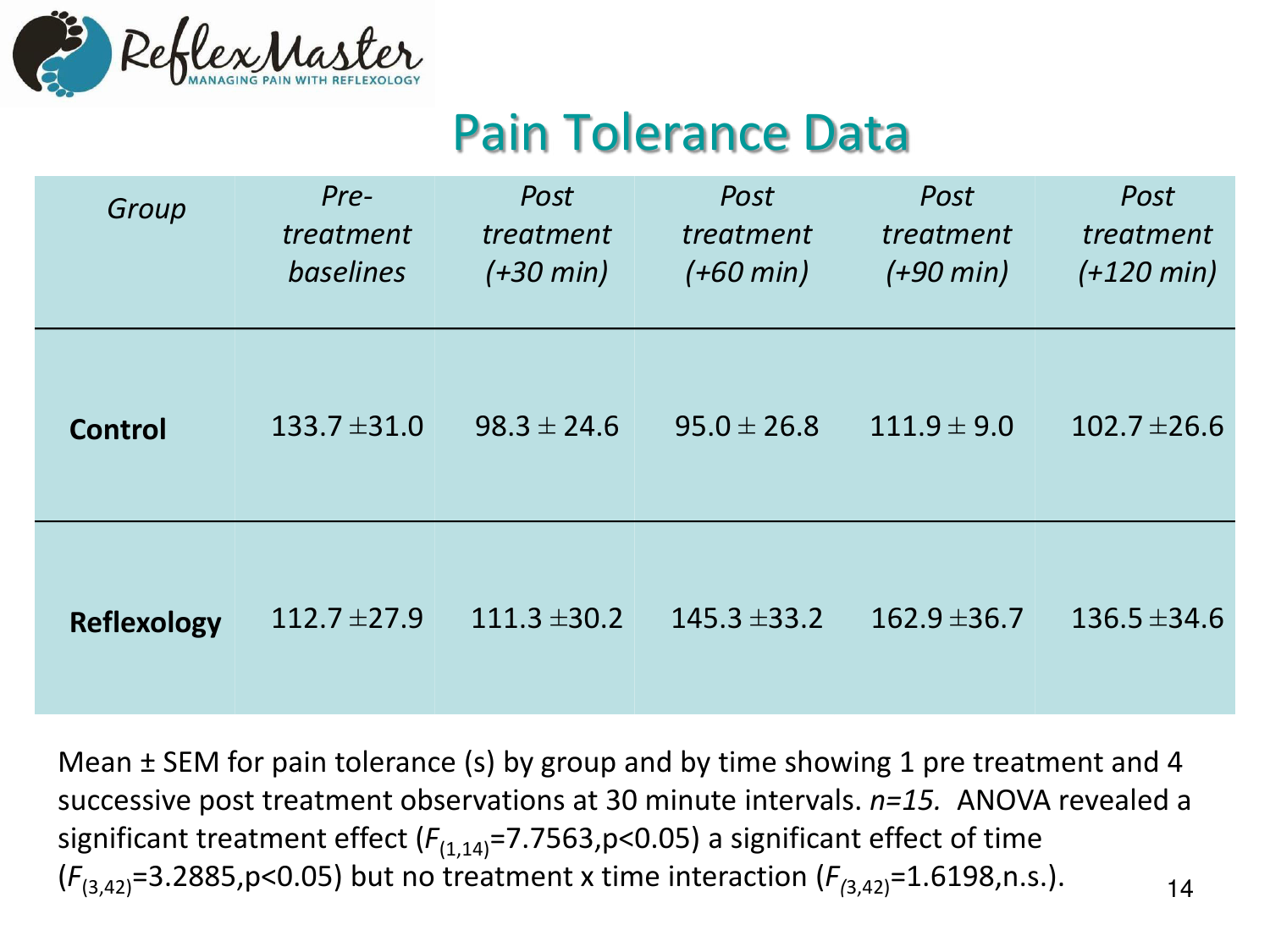

#### Pain Tolerance Data

| Group              | Pre-<br>treatment<br>baselines | Post<br>treatment<br>$(+30 \text{ min})$ | Post<br>treatment<br>$(+60 \text{ min})$ | Post<br>treatment<br>$(+90 \text{ min})$ | Post<br>treatment<br>$(+120 \text{ min})$ |
|--------------------|--------------------------------|------------------------------------------|------------------------------------------|------------------------------------------|-------------------------------------------|
| <b>Control</b>     | $133.7 \pm 31.0$               | $98.3 \pm 24.6$                          | $95.0 \pm 26.8$                          | $111.9 \pm 9.0$                          | $102.7 \pm 26.6$                          |
| <b>Reflexology</b> | $112.7 \pm 27.9$               | $111.3 \pm 30.2$                         | $145.3 \pm 33.2$                         | $162.9 \pm 36.7$                         | $136.5 \pm 34.6$                          |

14 Mean ± SEM for pain tolerance (s) by group and by time showing 1 pre treatment and 4 successive post treatment observations at 30 minute intervals. *n=15.* ANOVA revealed a significant treatment effect  $(F_{(1,14)}=7.7563, p<0.05)$  a significant effect of time  $(F_{(3,42)}=3.2885, p<0.05)$  but no treatment x time interaction  $(F_{(3,42)}=1.6198, n.s.).$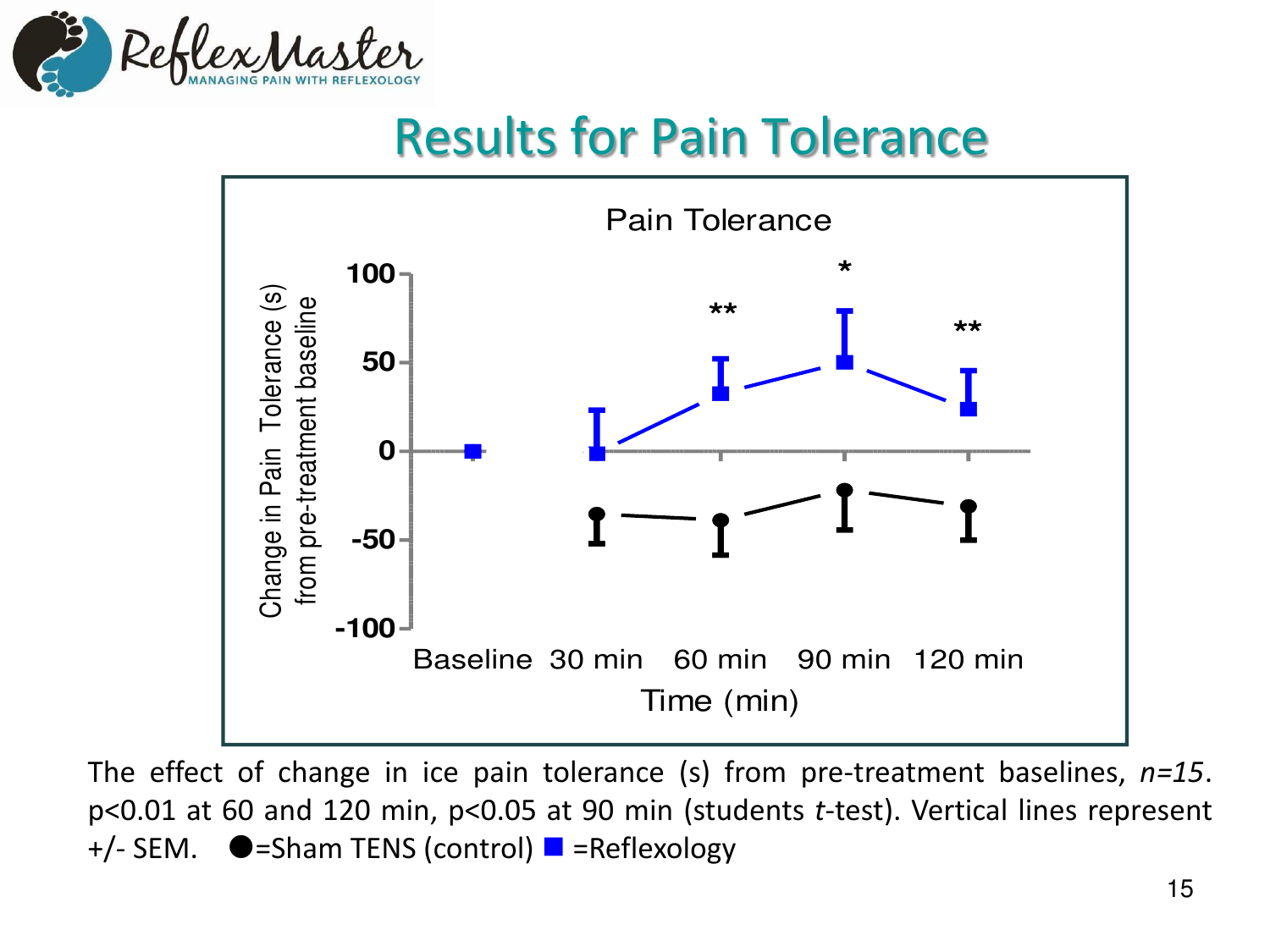

### Results for Pain Tolerance



The effect of change in ice pain tolerance (s) from pre-treatment baselines, *n=15*. p<0.01 at 60 and 120 min, p<0.05 at 90 min (students *t*-test). Vertical lines represent  $+/-$  SEM.  $\bullet$ =Sham TENS (control)  $\bullet$  =Reflexology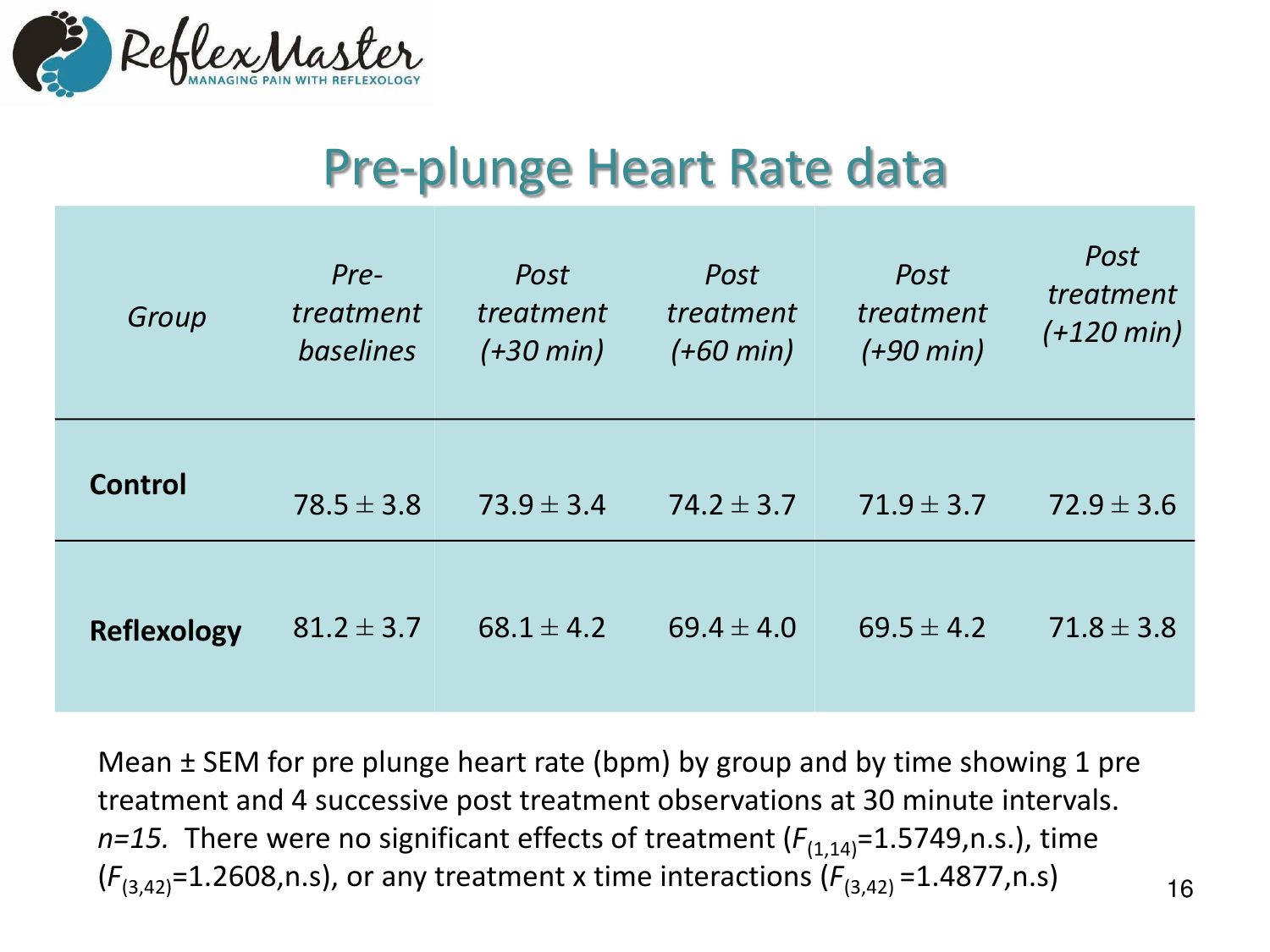

### Pre-plunge Heart Rate data

| Group              | Pre-<br>treatment<br><b>baselines</b> | Post<br>treatment<br>$(+30 \text{ min})$ | Post<br>treatment<br>$(+60 \text{ min})$ | Post<br>treatment<br>$(+90 \text{ min})$ | Post<br>treatment<br>$(+120 \text{ min})$ |
|--------------------|---------------------------------------|------------------------------------------|------------------------------------------|------------------------------------------|-------------------------------------------|
| <b>Control</b>     | $78.5 \pm 3.8$                        | $73.9 \pm 3.4$                           | $74.2 \pm 3.7$                           | $71.9 \pm 3.7$                           | $72.9 \pm 3.6$                            |
| <b>Reflexology</b> | $81.2 \pm 3.7$                        | $68.1 \pm 4.2$                           | $69.4 \pm 4.0$                           | $69.5 \pm 4.2$                           | $71.8 \pm 3.8$                            |

Mean ± SEM for pre plunge heart rate (bpm) by group and by time showing 1 pre treatment and 4 successive post treatment observations at 30 minute intervals. *n=15.* There were no significant effects of treatment  $(F_{(1,14)}=1.5749,n.s.)$ , time  $(F_{(3,42)}=1.2608, n.s)$ , or any treatment x time interactions  $(F_{(3,42)}=1.4877, n.s)$ 

16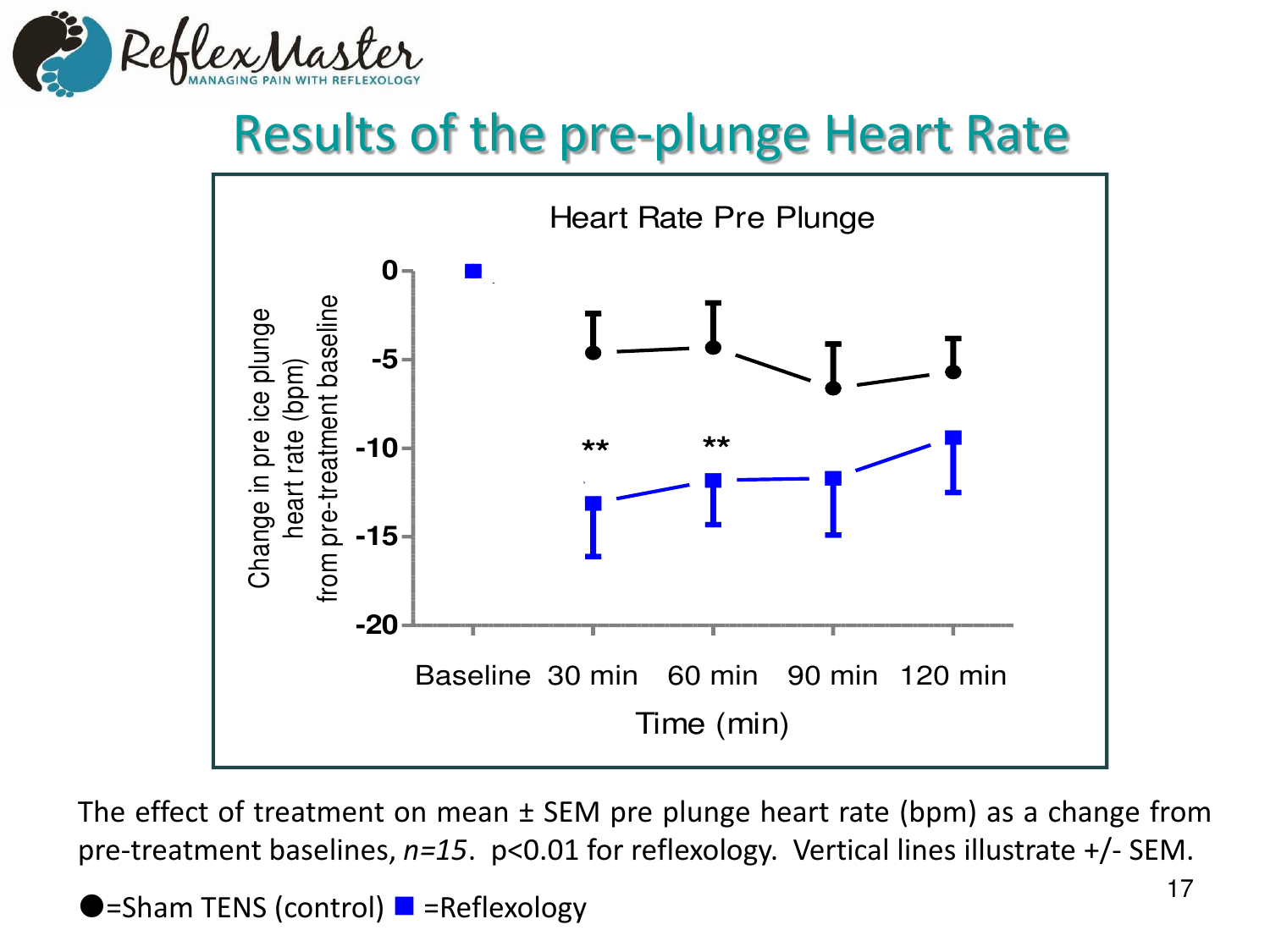

# Results of the pre-plunge Heart Rate



The effect of treatment on mean ± SEM pre plunge heart rate (bpm) as a change from pre-treatment baselines, *n=15*. p<0.01 for reflexology. Vertical lines illustrate +/- SEM.

 $\blacktriangleright$ =Sham TENS (control)  $\blacktriangleright$  =Reflexology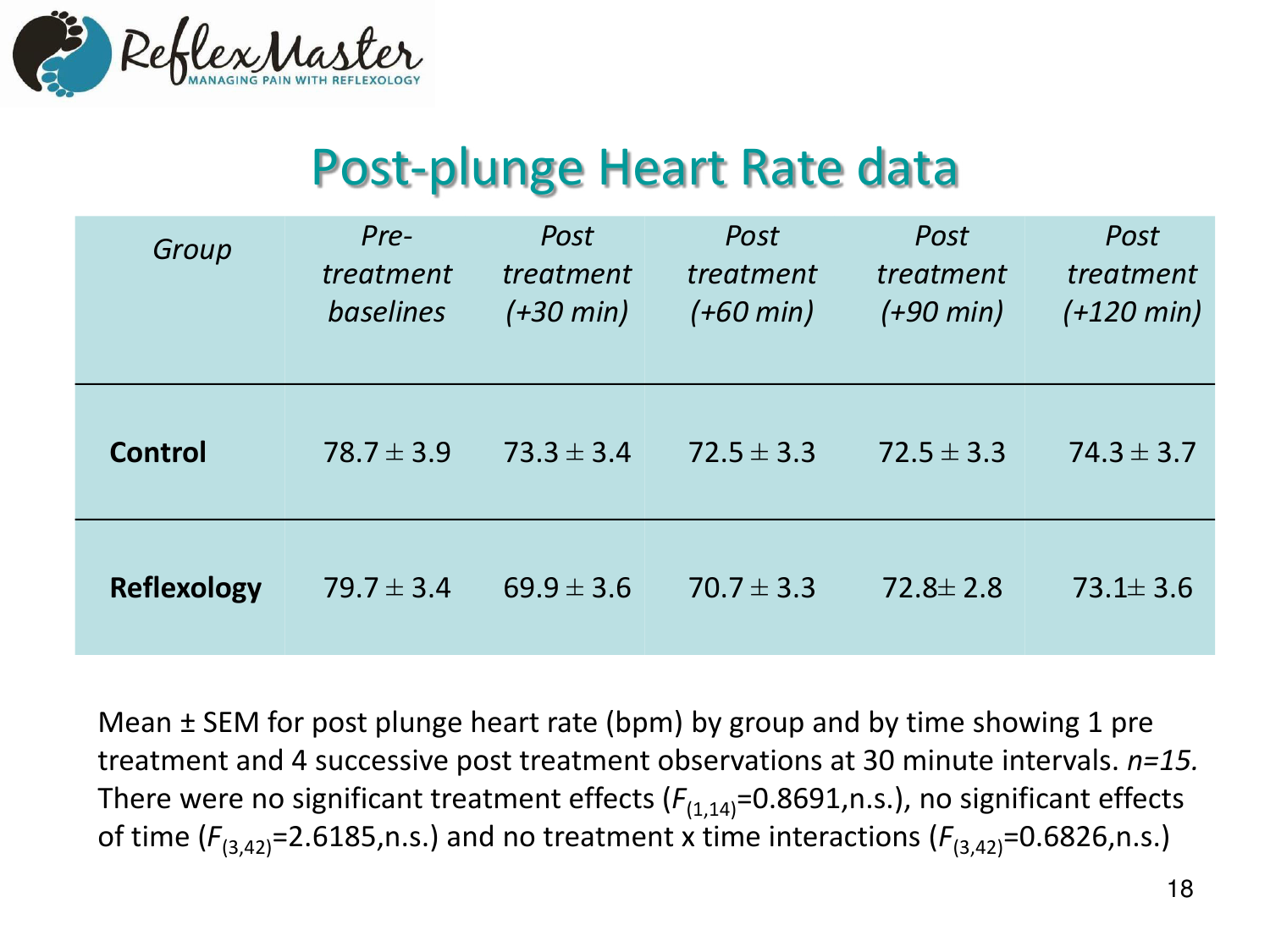

# Post-plunge Heart Rate data

| Group              | Pre-<br>treatment<br>baselines | Post<br>treatment<br>$(+30 \text{ min})$ | Post<br>treatment<br>$(+60 \text{ min})$ | Post<br>treatment<br>$(+90 \text{ min})$ | Post<br>treatment<br>$(+120 \text{ min})$ |
|--------------------|--------------------------------|------------------------------------------|------------------------------------------|------------------------------------------|-------------------------------------------|
| Control            | $78.7 \pm 3.9$                 | $73.3 \pm 3.4$                           | $72.5 \pm 3.3$                           | $72.5 \pm 3.3$                           | $74.3 \pm 3.7$                            |
| <b>Reflexology</b> | $79.7 \pm 3.4$                 | $69.9 \pm 3.6$                           | $70.7 \pm 3.3$                           | $72.8 \pm 2.8$                           | $73.1 \pm 3.6$                            |

Mean ± SEM for post plunge heart rate (bpm) by group and by time showing 1 pre treatment and 4 successive post treatment observations at 30 minute intervals. *n=15.*  There were no significant treatment effects  $(F_{(1,14)}=0.8691,n.s.)$ , no significant effects of time  $(F_{(3,42)}=2.6185,n.s.)$  and no treatment x time interactions  $(F_{(3,42)}=0.6826,n.s.)$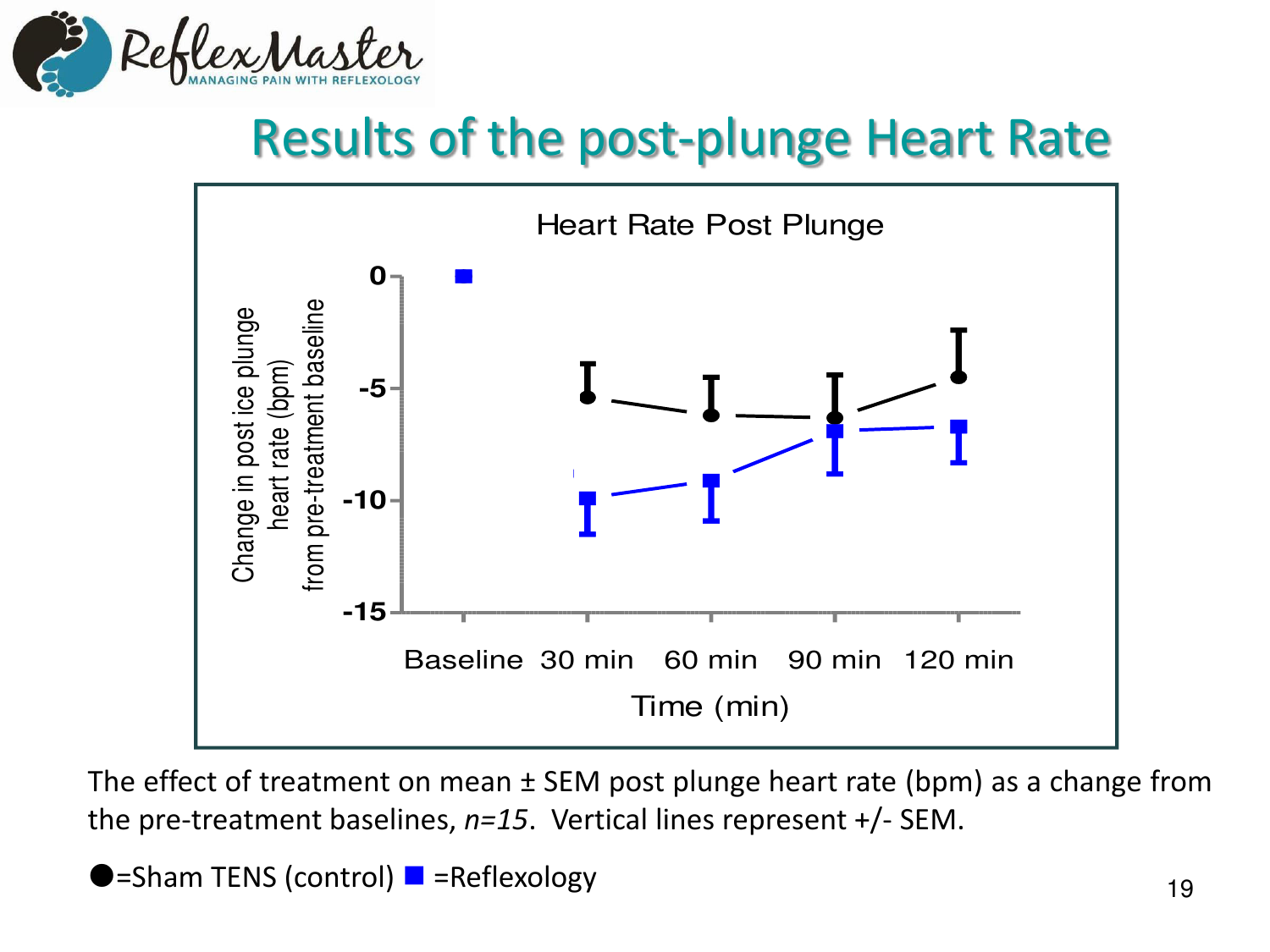

# Results of the post-plunge Heart Rate



The effect of treatment on mean ± SEM post plunge heart rate (bpm) as a change from the pre-treatment baselines, *n=15*. Vertical lines represent +/- SEM.

 $\bullet$ =Sham TENS (control)  $\bullet$  =Reflexology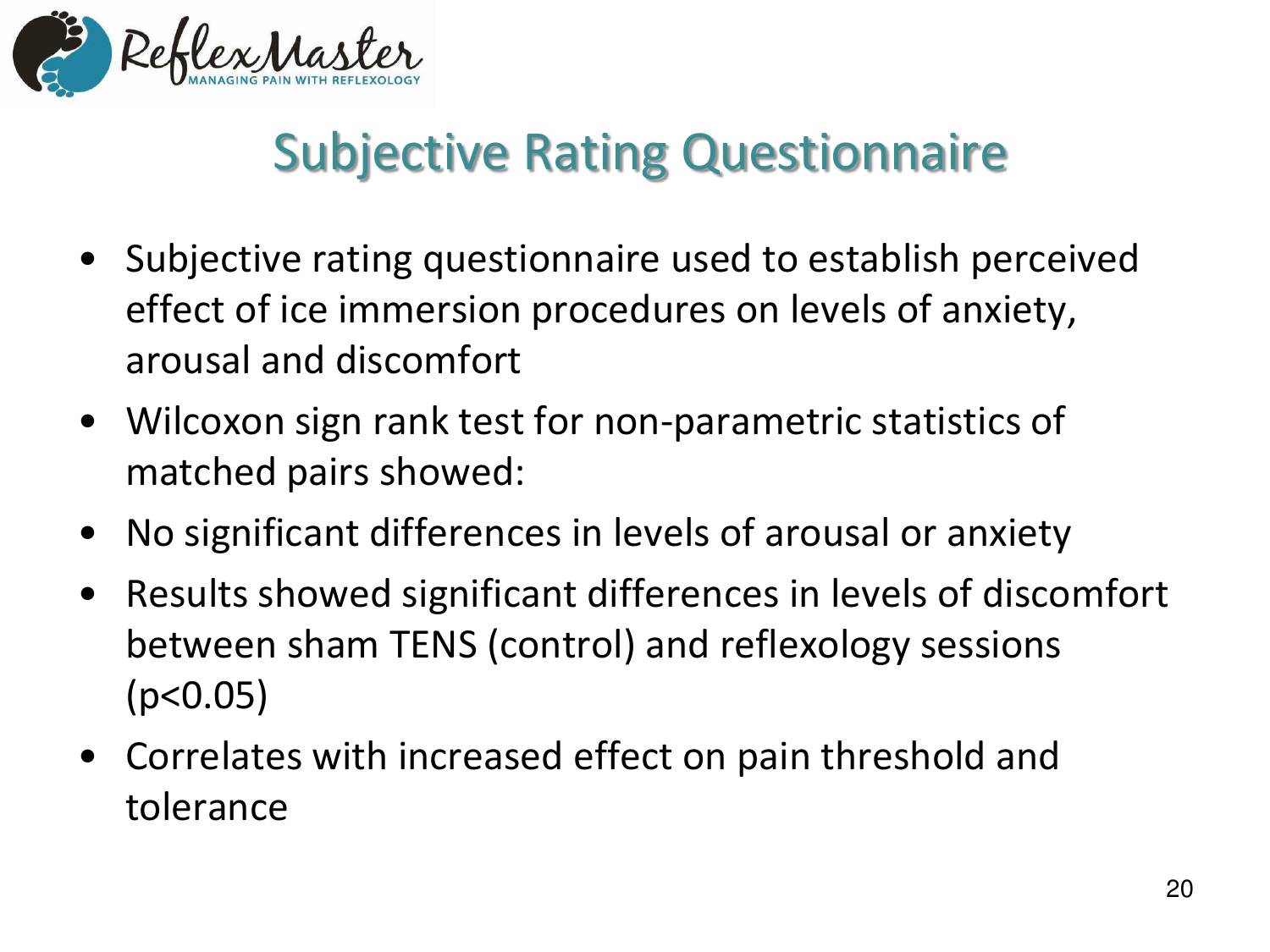

# Subjective Rating Questionnaire

- Subjective rating questionnaire used to establish perceived effect of ice immersion procedures on levels of anxiety, arousal and discomfort
- Wilcoxon sign rank test for non-parametric statistics of matched pairs showed:
- No significant differences in levels of arousal or anxiety
- Results showed significant differences in levels of discomfort between sham TENS (control) and reflexology sessions  $(p<0.05)$
- Correlates with increased effect on pain threshold and tolerance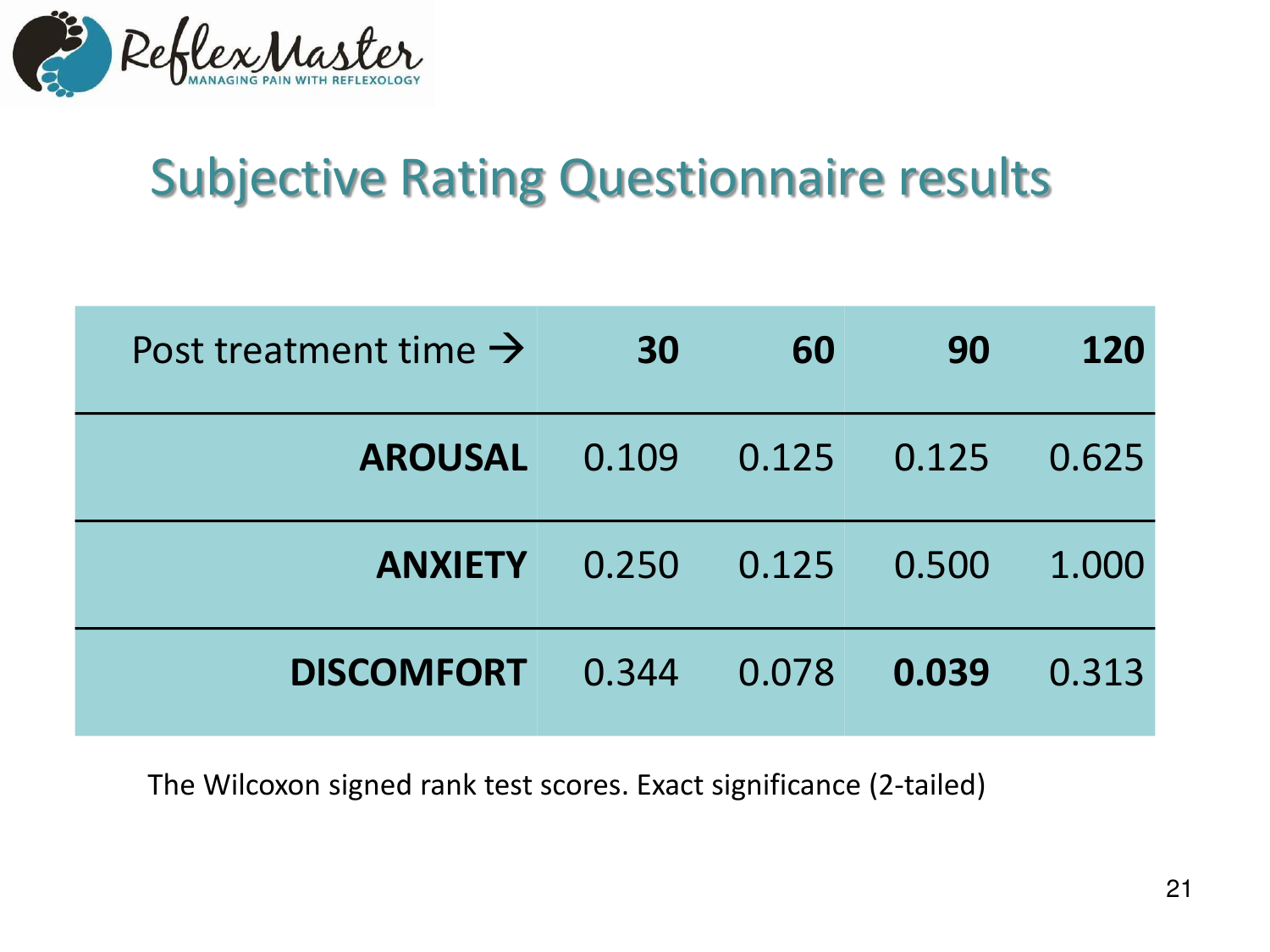

# Subjective Rating Questionnaire results

| Post treatment time $\rightarrow$ | 30    | 60    | 90    | 120   |
|-----------------------------------|-------|-------|-------|-------|
| <b>AROUSAL</b>                    | 0.109 | 0.125 | 0.125 | 0.625 |
| <b>ANXIETY</b>                    | 0.250 | 0.125 | 0.500 | 1.000 |
| <b>DISCOMFORT</b>                 | 0.344 | 0.078 | 0.039 | 0.313 |

The Wilcoxon signed rank test scores. Exact significance (2-tailed)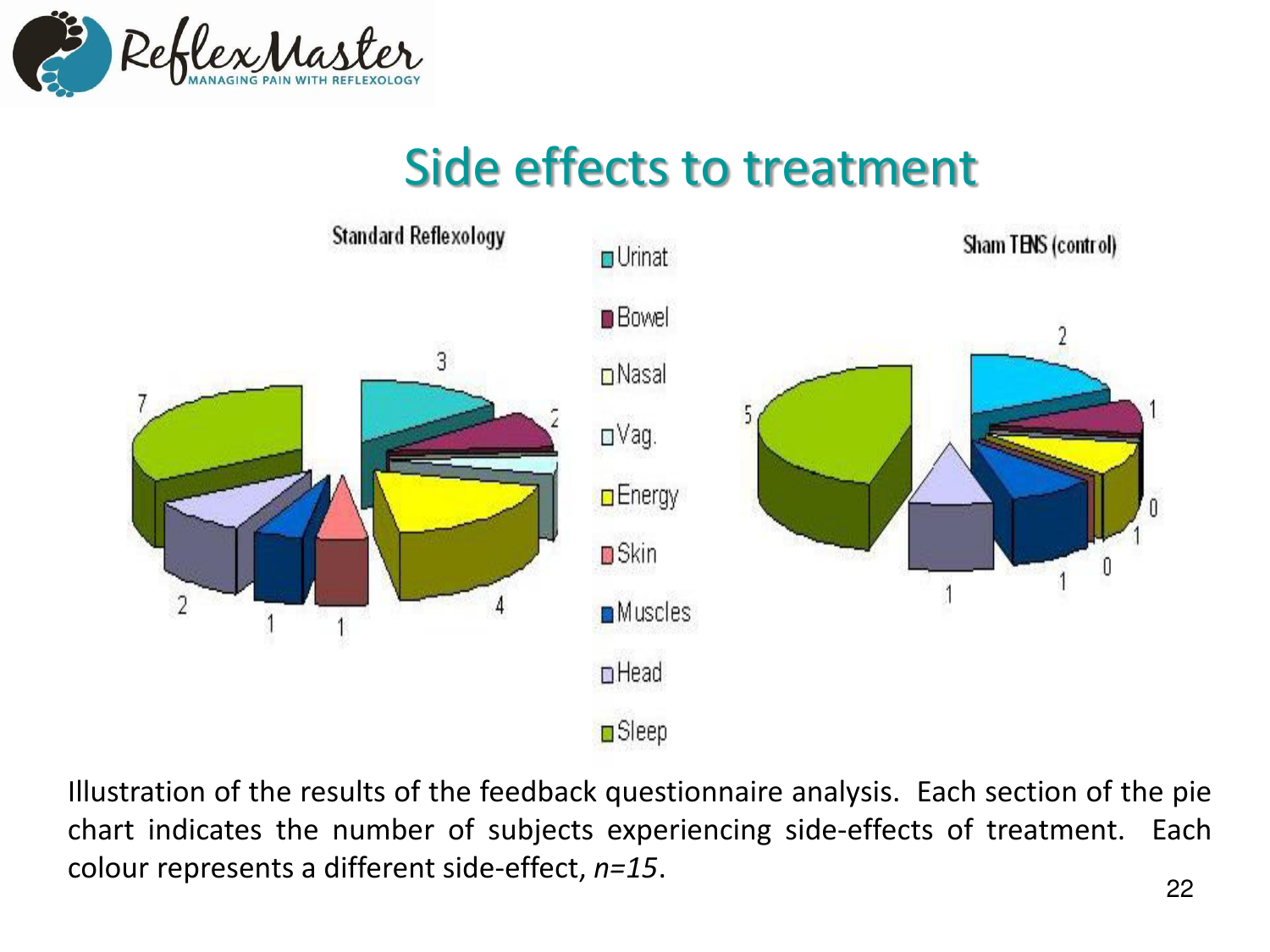

## Side effects to treatment



Illustration of the results of the feedback questionnaire analysis. Each section of the pie chart indicates the number of subjects experiencing side-effects of treatment. Each colour represents a different side-effect, *n=15*.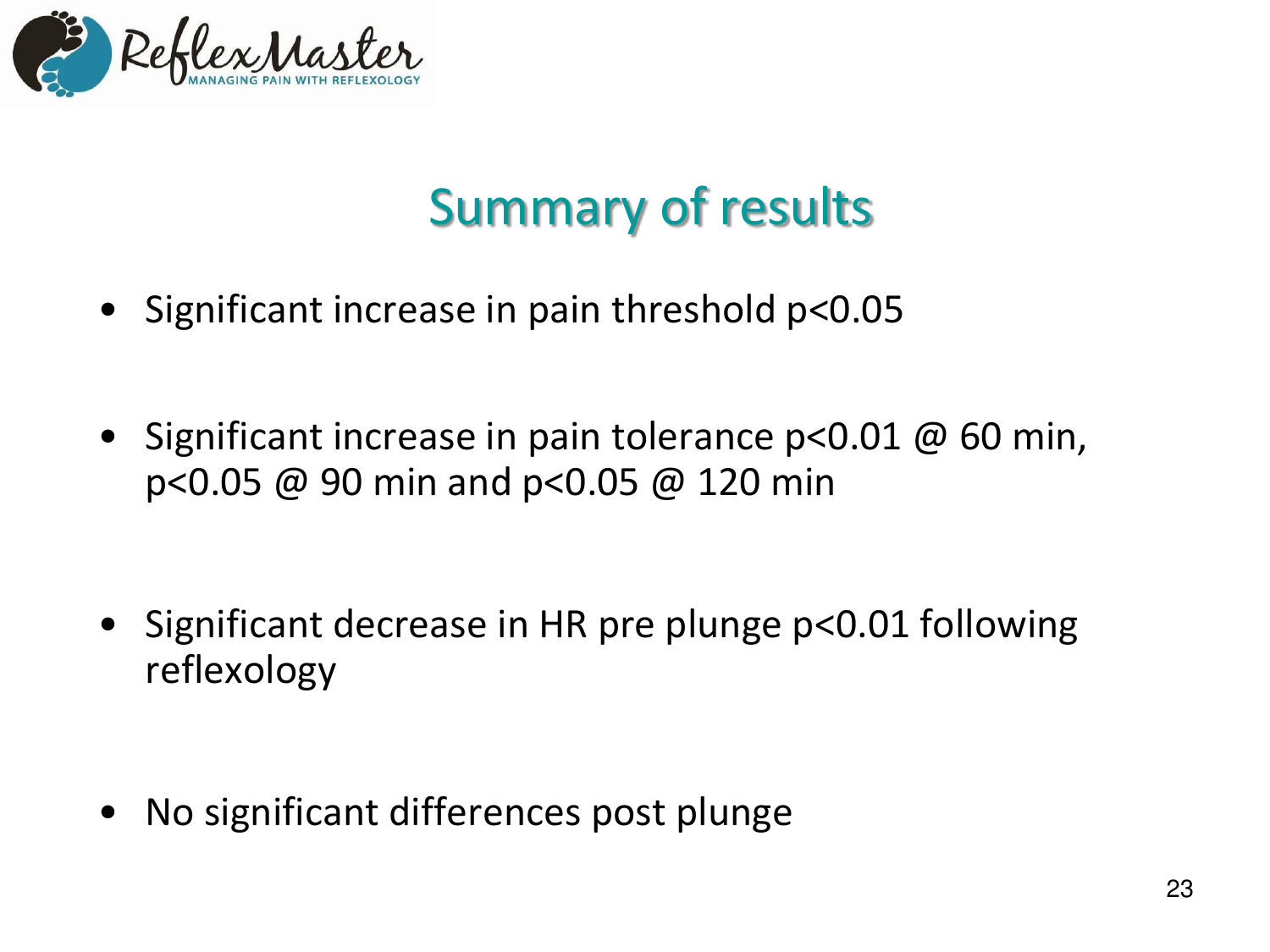

# Summary of results

- Significant increase in pain threshold p<0.05
- Significant increase in pain tolerance  $p<0.01 \& 60$  min, p<0.05 @ 90 min and p<0.05 @ 120 min

- Significant decrease in HR pre plunge p<0.01 following reflexology
- No significant differences post plunge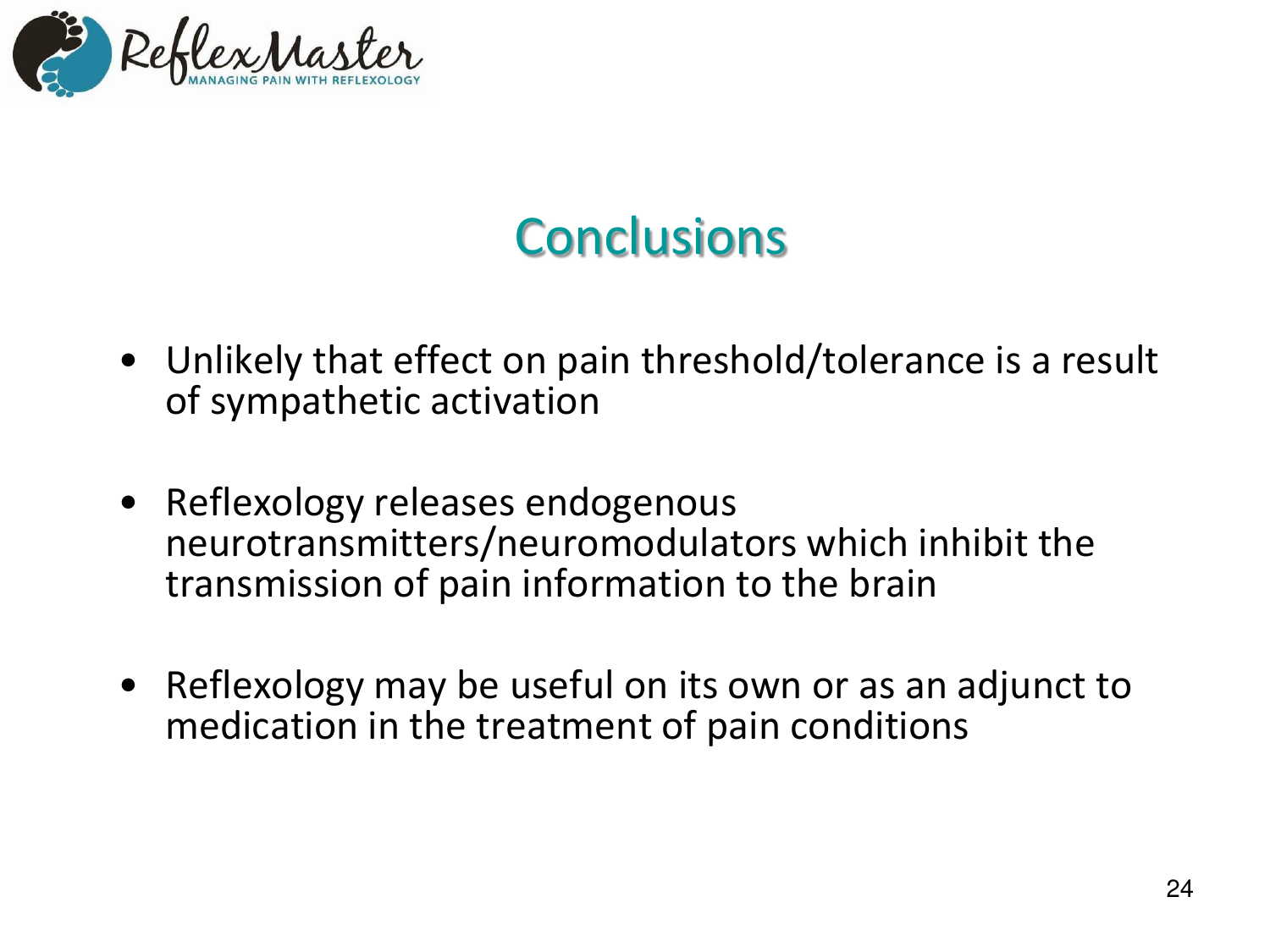

# **Conclusions**

- Unlikely that effect on pain threshold/tolerance is a result of sympathetic activation
- Reflexology releases endogenous neurotransmitters/neuromodulators which inhibit the transmission of pain information to the brain
- Reflexology may be useful on its own or as an adjunct to medication in the treatment of pain conditions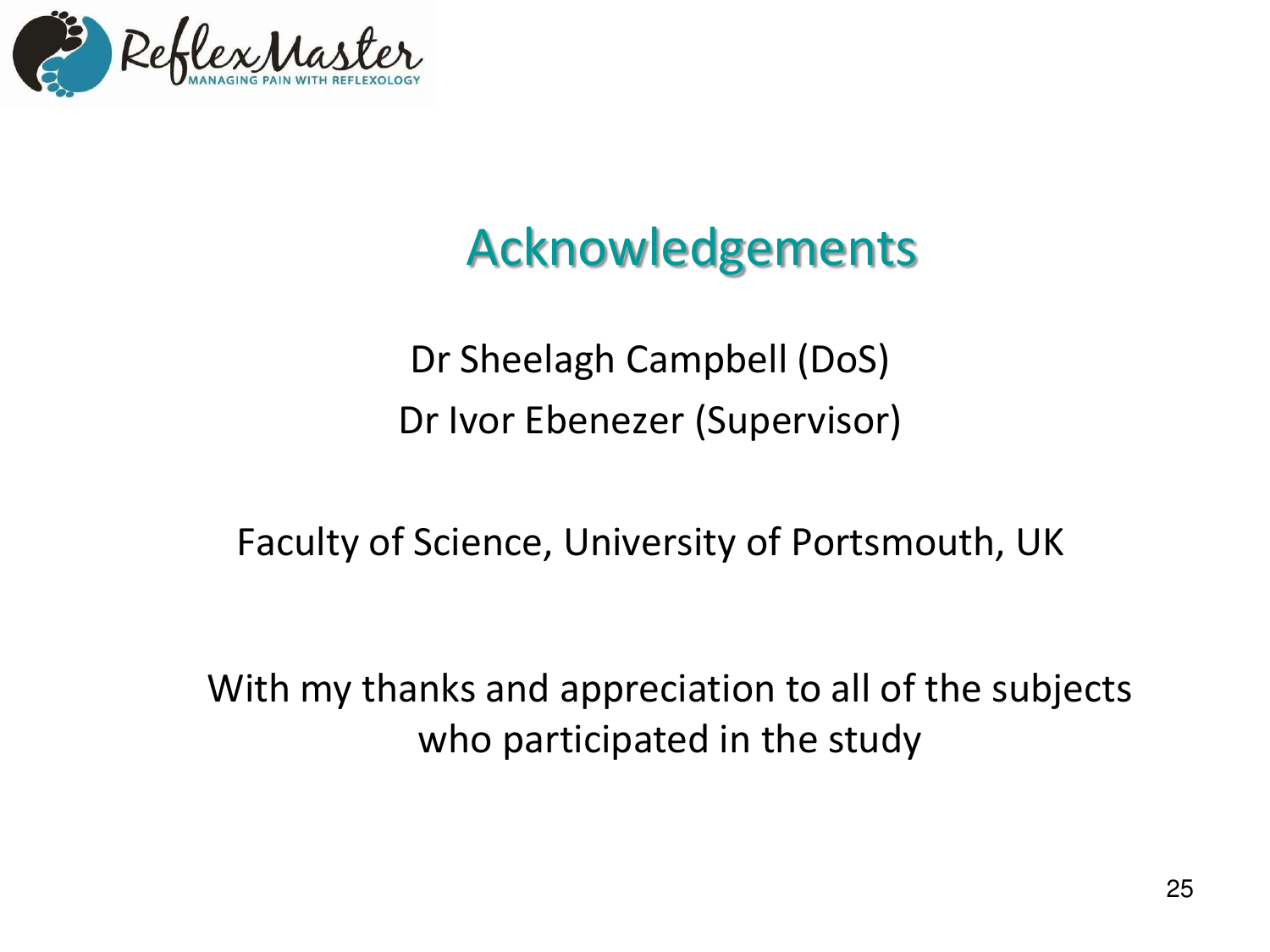

# Acknowledgements

Dr Sheelagh Campbell (DoS) Dr Ivor Ebenezer (Supervisor)

Faculty of Science, University of Portsmouth, UK

With my thanks and appreciation to all of the subjects who participated in the study